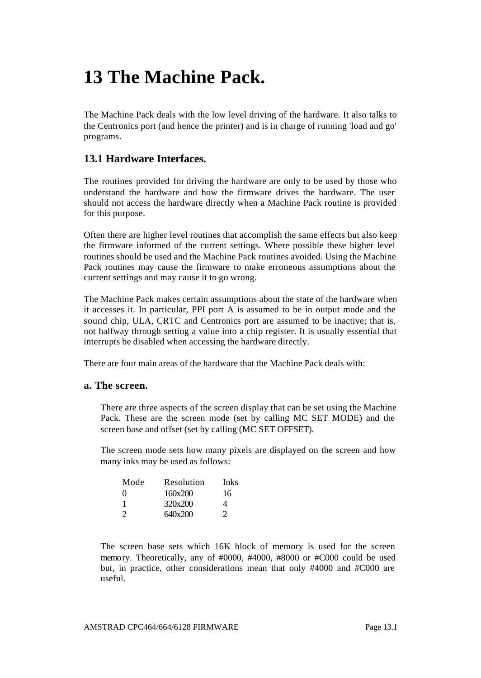# **13 The Machine Pack.**

The Machine Pack deals with the low level driving of the hardware. It also talks to the Centronics port (and hence the printer) and is in charge of running 'load and go' programs.

# **13.1 Hardware Interfaces.**

The routines provided for driving the hardware are only to be used by those who understand the hardware and how the firmware drives the hardware. The user should not access the hardware directly when a Machine Pack routine is provided for this purpose.

Often there are higher level routines that accomplish the same effects but also keep the firmware informed of the current settings. Where possible these higher level routines should be used and the Machine Pack routines avoided. Using the Machine Pack routines may cause the firmware to make erroneous assumptions about the current settings and may cause it to go wrong.

The Machine Pack makes certain assumptions about the state of the hardware when it accesses it. In particular, PPI port A is assumed to be in output mode and the sound chip, ULA, CRTC and Centronics port are assumed to be inactive; that is, not halfway through setting a value into a chip register. It is usually essential that interrupts be disabled when accessing the hardware directly.

There are four main areas of the hardware that the Machine Pack deals with:

## **a. The screen.**

There are three aspects of the screen display that can be set using the Machine Pack. These are the screen mode (set by calling MC SET MODE) and the screen base and offset (set by calling (MC SET OFFSET).

The screen mode sets how many pixels are displayed on the screen and how many inks may be used as follows:

| Inks |
|------|
| 16   |
|      |
|      |
|      |

The screen base sets which 16K block of memory is used for the screen memory. Theoretically, any of #0000, #4000, #8000 or #C000 could be used but, in practice, other considerations mean that only #4000 and #C000 are useful.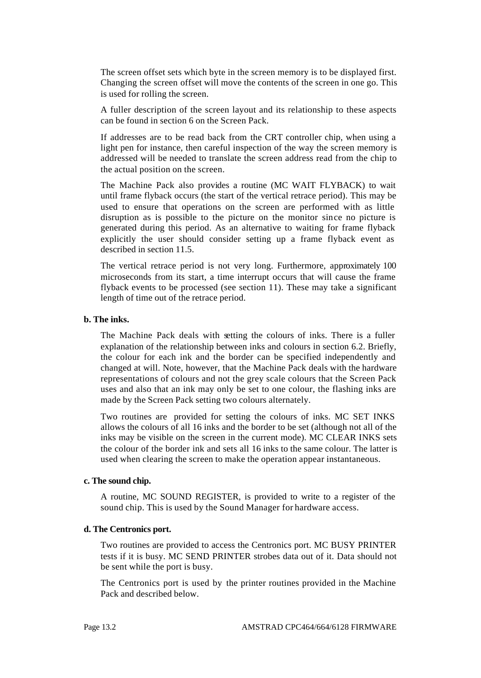The screen offset sets which byte in the screen memory is to be displayed first. Changing the screen offset will move the contents of the screen in one go. This is used for rolling the screen.

A fuller description of the screen layout and its relationship to these aspects can be found in section 6 on the Screen Pack.

If addresses are to be read back from the CRT controller chip, when using a light pen for instance, then careful inspection of the way the screen memory is addressed will be needed to translate the screen address read from the chip to the actual position on the screen.

The Machine Pack also provides a routine (MC WAIT FLYBACK) to wait until frame flyback occurs (the start of the vertical retrace period). This may be used to ensure that operations on the screen are performed with as little disruption as is possible to the picture on the monitor since no picture is generated during this period. As an alternative to waiting for frame flyback explicitly the user should consider setting up a frame flyback event as described in section 11.5.

The vertical retrace period is not very long. Furthermore, approximately 100 microseconds from its start, a time interrupt occurs that will cause the frame flyback events to be processed (see section 11). These may take a significant length of time out of the retrace period.

## **b. The inks.**

The Machine Pack deals with setting the colours of inks. There is a fuller explanation of the relationship between inks and colours in section 6.2. Briefly, the colour for each ink and the border can be specified independently and changed at will. Note, however, that the Machine Pack deals with the hardware representations of colours and not the grey scale colours that the Screen Pack uses and also that an ink may only be set to one colour, the flashing inks are made by the Screen Pack setting two colours alternately.

Two routines are provided for setting the colours of inks. MC SET INKS allows the colours of all 16 inks and the border to be set (although not all of the inks may be visible on the screen in the current mode). MC CLEAR INKS sets the colour of the border ink and sets all 16 inks to the same colour. The latter is used when clearing the screen to make the operation appear instantaneous.

#### **c. The sound chip.**

A routine, MC SOUND REGISTER, is provided to write to a register of the sound chip. This is used by the Sound Manager for hardware access.

## **d. The Centronics port.**

Two routines are provided to access the Centronics port. MC BUSY PRINTER tests if it is busy. MC SEND PRINTER strobes data out of it. Data should not be sent while the port is busy.

The Centronics port is used by the printer routines provided in the Machine Pack and described below.